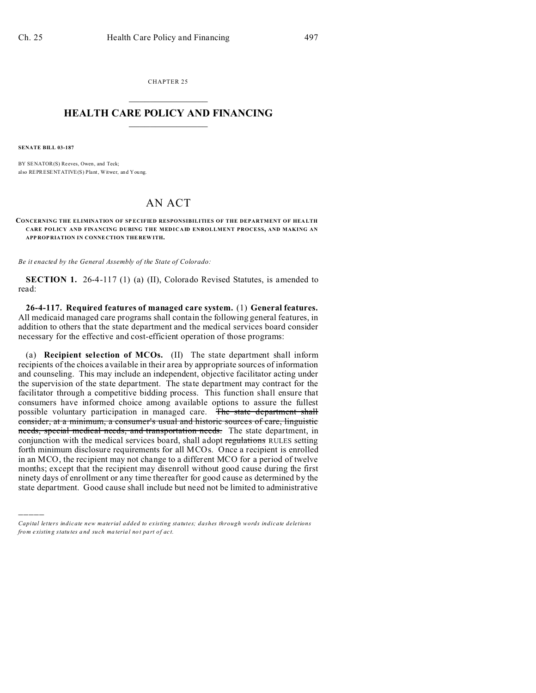CHAPTER 25  $\overline{\phantom{a}}$  , where  $\overline{\phantom{a}}$ 

### **HEALTH CARE POLICY AND FINANCING**  $\_$   $\_$   $\_$   $\_$   $\_$   $\_$   $\_$   $\_$

**SENATE BILL 03-187**

)))))

BY SENATOR(S) Reeves, Owen, and Teck; also REPRESENTATIVE(S) Plant, Witwer, and You ng.

# AN ACT

**CONCERNING THE ELIMINATION OF SPECIFIED RESPONSIBILITIES OF THE DEPARTMENT OF HEALTH CARE POLICY AND FINANCING DURING THE MEDICAID ENROLLMENT PROCESS, AND MAKING AN APP ROP RIATION IN CONNE CTION THE REW ITH.**

*Be it enacted by the General Assembly of the State of Colorado:*

**SECTION 1.** 26-4-117 (1) (a) (II), Colorado Revised Statutes, is amended to read:

**26-4-117. Required features of managed care system.** (1) **General features.** All medicaid managed care programs shall contain the following general features, in addition to others that the state department and the medical services board consider necessary for the effective and cost-efficient operation of those programs:

(a) **Recipient selection of MCOs.** (II) The state department shall inform recipients of the choices available in their area by appropriate sources of information and counseling. This may include an independent, objective facilitator acting under the supervision of the state department. The state department may contract for the facilitator through a competitive bidding process. This function shall ensure that consumers have informed choice among available options to assure the fullest possible voluntary participation in managed care. The state department shall consider, at a minimum, a consumer's usual and historic sources of care, linguistic needs, special medical needs, and transportation needs. The state department, in conjunction with the medical services board, shall adopt regulations RULES setting forth minimum disclosure requirements for all MCOs. Once a recipient is enrolled in an MCO, the recipient may not change to a different MCO for a period of twelve months; except that the recipient may disenroll without good cause during the first ninety days of enrollment or any time thereafter for good cause as determined by the state department. Good cause shall include but need not be limited to administrative

*Capital letters indicate new material added to existing statutes; dashes through words indicate deletions from e xistin g statu tes a nd such ma teria l no t pa rt of ac t.*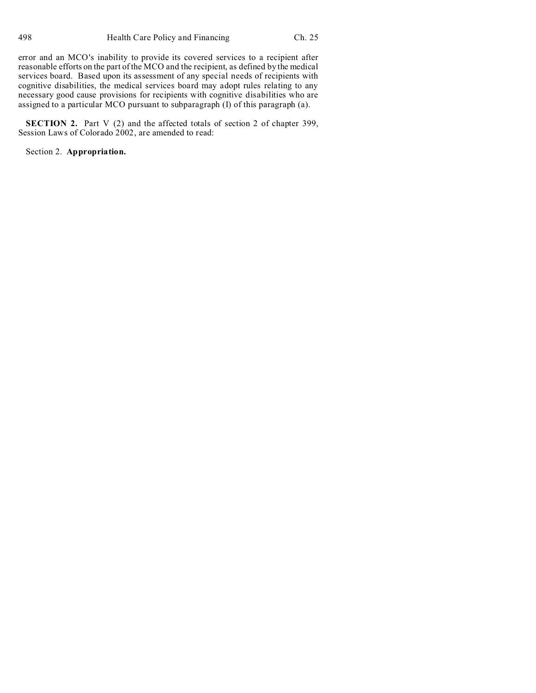error and an MCO's inability to provide its covered services to a recipient after reasonable efforts on the part of the MCO and the recipient, as defined by the medical services board. Based upon its assessment of any special needs of recipients with cognitive disabilities, the medical services board may adopt rules relating to any necessary good cause provisions for recipients with cognitive disabilities who are assigned to a particular MCO pursuant to subparagraph (I) of this paragraph (a).

**SECTION 2.** Part V (2) and the affected totals of section 2 of chapter 399, Session Laws of Colorado 2002, are amended to read:

Section 2. **Appropriation.**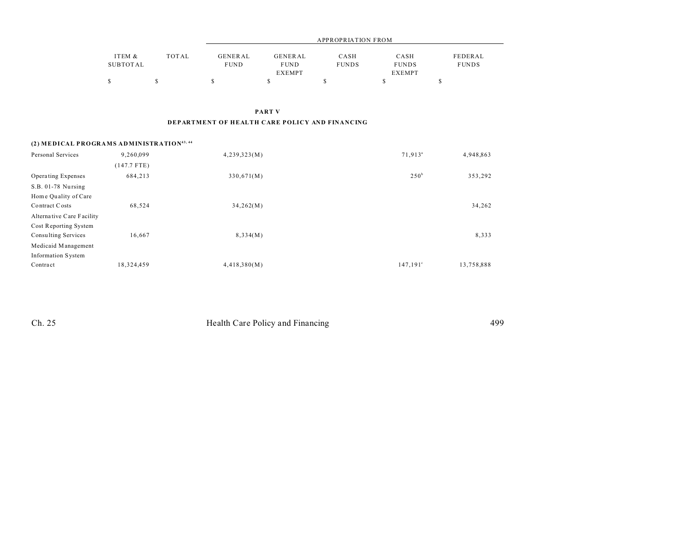|          |              | APPROPRIATION FROM |               |              |               |              |  |
|----------|--------------|--------------------|---------------|--------------|---------------|--------------|--|
| ITEM &   | <b>TOTAL</b> | GENERAL            | GENERAL       | CASH         | CASH          | FEDERAL      |  |
| SUBTOTAL |              | <b>FUND</b>        | <b>FUND</b>   | <b>FUNDS</b> | <b>FUNDS</b>  | <b>FUNDS</b> |  |
|          |              |                    | <b>EXEMPT</b> |              | <b>EXEMPT</b> |              |  |
|          |              |                    |               |              |               |              |  |

PART V

#### DEPARTMENT OF HEALTH CARE POLICY AND FINANCING

### (2) MEDICAL PROGRAMS ADMINISTRATION<sup>43, 44</sup>

| Personal Services         | 9,260,099     | 4,239,323(M) | 71,913 <sup>a</sup> | 4,948,863  |
|---------------------------|---------------|--------------|---------------------|------------|
|                           | $(147.7$ FTE) |              |                     |            |
| Operating Expenses        | 684,213       | 330,671(M)   | 250 <sup>b</sup>    | 353,292    |
| S.B. 01-78 Nursing        |               |              |                     |            |
| Home Quality of Care      |               |              |                     |            |
| Contract Costs            | 68,524        | 34,262(M)    |                     | 34,262     |
| Alternative Care Facility |               |              |                     |            |
| Cost Reporting System     |               |              |                     |            |
| Consulting Services       | 16.667        | 8,334(M)     |                     | 8,333      |
| Medicaid Management       |               |              |                     |            |
| Information System        |               |              |                     |            |
| Contract                  | 18,324,459    | 4,418,380(M) | $147,191^{\circ}$   | 13,758,888 |

Ch. 25

Health Care Policy and Financing

499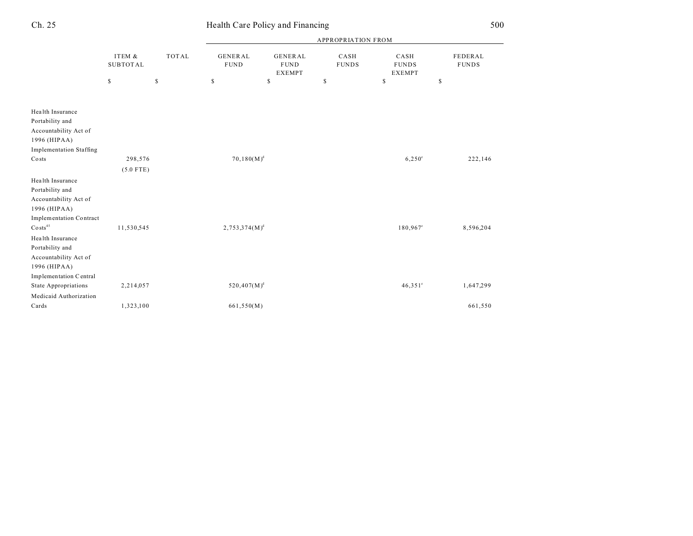|                                                              |                           |              | <b>APPROPRIATION FROM</b>     |                                                |                      |                                       |                         |  |  |
|--------------------------------------------------------------|---------------------------|--------------|-------------------------------|------------------------------------------------|----------------------|---------------------------------------|-------------------------|--|--|
|                                                              | ITEM &<br><b>SUBTOTAL</b> | <b>TOTAL</b> | <b>GENERAL</b><br><b>FUND</b> | <b>GENERAL</b><br><b>FUND</b><br><b>EXEMPT</b> | CASH<br><b>FUNDS</b> | CASH<br><b>FUNDS</b><br><b>EXEMPT</b> | FEDERAL<br><b>FUNDS</b> |  |  |
|                                                              | \$                        | $\mathbb{S}$ | \$                            | \$                                             | \$                   | \$                                    | \$                      |  |  |
|                                                              |                           |              |                               |                                                |                      |                                       |                         |  |  |
| Health Insurance                                             |                           |              |                               |                                                |                      |                                       |                         |  |  |
| Portability and                                              |                           |              |                               |                                                |                      |                                       |                         |  |  |
| Accountability Act of                                        |                           |              |                               |                                                |                      |                                       |                         |  |  |
| 1996 (HIPAA)                                                 |                           |              |                               |                                                |                      |                                       |                         |  |  |
| <b>Implementation Staffing</b>                               |                           |              |                               |                                                |                      |                                       |                         |  |  |
| Costs                                                        | 298,576                   |              | $70,180(M)^d$                 |                                                |                      | $6,250^{\circ}$                       | 222,146                 |  |  |
|                                                              | $(5.0$ FTE)               |              |                               |                                                |                      |                                       |                         |  |  |
| Health Insurance<br>Portability and<br>Accountability Act of |                           |              |                               |                                                |                      |                                       |                         |  |  |
| 1996 (HIPAA)                                                 |                           |              |                               |                                                |                      |                                       |                         |  |  |
| Implementation Contract                                      |                           |              |                               |                                                |                      |                                       |                         |  |  |
| $\text{Costs}^{45}$                                          | 11,530,545                |              | $2,753,374(M)^d$              |                                                |                      | 180,967 <sup>e</sup>                  | 8,596,204               |  |  |
| Health Insurance<br>Portability and<br>Accountability Act of |                           |              |                               |                                                |                      |                                       |                         |  |  |
| 1996 (HIPAA)                                                 |                           |              |                               |                                                |                      |                                       |                         |  |  |
| Implementation Central                                       |                           |              |                               |                                                |                      |                                       |                         |  |  |
| State Appropriations                                         | 2,214,057                 |              | $520,407(M)^d$                |                                                |                      | $46,351^{\circ}$                      | 1,647,299               |  |  |
| Medicaid Authorization                                       |                           |              |                               |                                                |                      |                                       |                         |  |  |
| Cards                                                        | 1,323,100                 |              | 661,550(M)                    |                                                |                      |                                       | 661,550                 |  |  |

# Ch. 25 Health Care Policy and Financing 500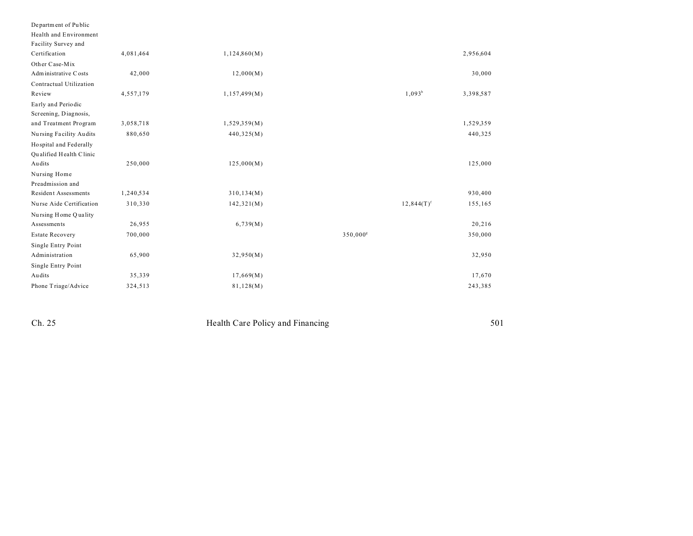| Department of Public     |           |              |                      |                          |           |
|--------------------------|-----------|--------------|----------------------|--------------------------|-----------|
| Health and Environment   |           |              |                      |                          |           |
| Facility Survey and      |           |              |                      |                          |           |
| Certification            | 4,081,464 | 1,124,860(M) |                      |                          | 2,956,604 |
| Other Case-Mix           |           |              |                      |                          |           |
| Administrative Costs     | 42,000    | 12,000(M)    |                      |                          | 30,000    |
| Contractual Utilization  |           |              |                      |                          |           |
| Review                   | 4,557,179 | 1,157,499(M) |                      | $1,093^b$                | 3,398,587 |
| Early and Periodic       |           |              |                      |                          |           |
| Screening, Diagnosis,    |           |              |                      |                          |           |
| and Treatment Program    | 3,058,718 | 1,529,359(M) |                      |                          | 1,529,359 |
| Nursing Facility Audits  | 880,650   | 440,325(M)   |                      |                          | 440,325   |
| Hospital and Federally   |           |              |                      |                          |           |
| Qualified Health Clinic  |           |              |                      |                          |           |
| Audits                   | 250,000   | 125,000(M)   |                      |                          | 125,000   |
| Nursing Home             |           |              |                      |                          |           |
| Preadmission and         |           |              |                      |                          |           |
| Resident Assessments     | 1,240,534 | 310, 134(M)  |                      |                          | 930,400   |
| Nurse Aide Certification | 310,330   | 142,321(M)   |                      | $12,844(T)$ <sup>f</sup> | 155,165   |
| Nursing Home Quality     |           |              |                      |                          |           |
| Assessments              | 26,955    | 6,739(M)     |                      |                          | 20,216    |
| <b>Estate Recovery</b>   | 700,000   |              | 350,000 <sup>s</sup> |                          | 350,000   |
| Single Entry Point       |           |              |                      |                          |           |
| Administration           | 65,900    | 32,950(M)    |                      |                          | 32,950    |
| Single Entry Point       |           |              |                      |                          |           |
| Audits                   | 35,339    | 17,669(M)    |                      |                          | 17,670    |
| Phone Triage/Advice      | 324,513   | 81,128(M)    |                      |                          | 243,385   |

 $Ch. 25$ 

Health Care Policy and Financing

501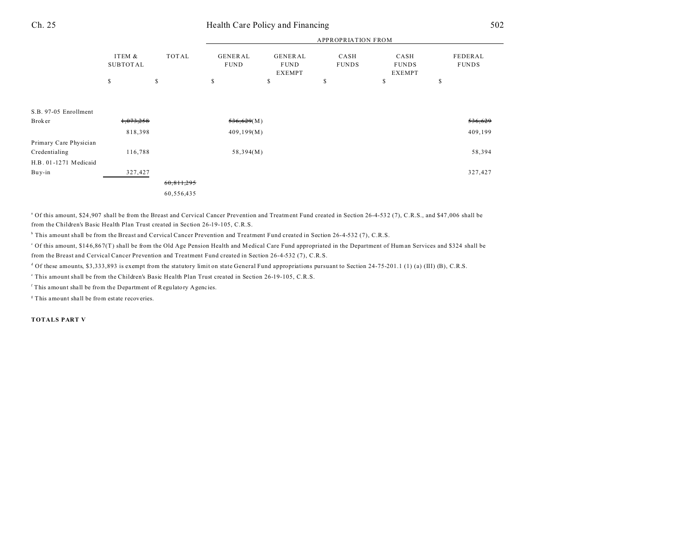| Ch. 25 | Health Care Policy and Financing |  |  |  |
|--------|----------------------------------|--|--|--|
|        |                                  |  |  |  |

|                        | <b>APPROPRIATION FROM</b> |              |                               |                                         |                      |                                       |                         |
|------------------------|---------------------------|--------------|-------------------------------|-----------------------------------------|----------------------|---------------------------------------|-------------------------|
|                        | ITEM &<br><b>SUBTOTAL</b> | <b>TOTAL</b> | <b>GENERAL</b><br><b>FUND</b> | GENERAL<br><b>FUND</b><br><b>EXEMPT</b> | CASH<br><b>FUNDS</b> | CASH<br><b>FUNDS</b><br><b>EXEMPT</b> | FEDERAL<br><b>FUNDS</b> |
|                        | \$                        | \$           | \$                            | S                                       | \$                   | \$                                    | \$                      |
|                        |                           |              |                               |                                         |                      |                                       |                         |
| S.B. 97-05 Enrollment  |                           |              |                               |                                         |                      |                                       |                         |
| <b>Broker</b>          | 1,073,258                 |              | 536,629(M)                    |                                         |                      |                                       | 536,629                 |
|                        | 818,398                   |              | 409, 199(M)                   |                                         |                      |                                       | 409,199                 |
| Primary Care Physician |                           |              |                               |                                         |                      |                                       |                         |
| Credentialing          | 116,788                   |              | 58,394(M)                     |                                         |                      |                                       | 58,394                  |
| H.B. 01-1271 Medicaid  |                           |              |                               |                                         |                      |                                       |                         |
| Buy-in                 | 327,427                   |              |                               |                                         |                      |                                       | 327,427                 |
|                        |                           | 60,811,295   |                               |                                         |                      |                                       |                         |
|                        |                           | 60,556,435   |                               |                                         |                      |                                       |                         |
|                        |                           |              |                               |                                         |                      |                                       |                         |

<sup>a</sup> Of this amount, \$24,907 shall be from the Breast and Cervical Cancer Prevention and Treatment Fund created in Section 26-4-532 (7), C.R.S., and \$47,006 shall be from the Children's Basic Health Plan Trust created in Section 26-19-105, C.R.S.

b This amount shall be from the Breast and Cervical Cancer Prevention and Treatment Fund created in Section 26-4-532 (7), C.R.S.

c Of this amount, \$14 6,86 7(T) shall be from the Old Age Pension Health and Medical Care Fund appropriated in the Department of Human Services and \$324 shall be from the Breast and Cervical Cancer Prevention and Treatment Fund created in Section 26-4-532 (7), C.R.S.

<sup>d</sup> Of these amounts, \$3,333,893 is exempt from the statutory limit on state General Fund appropriations pursuant to Section 24-75-201.1 (1) (a) (III) (B), C.R.S.

e This amount shall be from the Children's Basic Health Plan Trust created in Section 26-19-105, C.R.S.

<sup>f</sup> This amount shall be from the Department of Regulatory Agencies.

<sup>8</sup> This amount shall be from estate recoveries.

**TOTALS PART V**